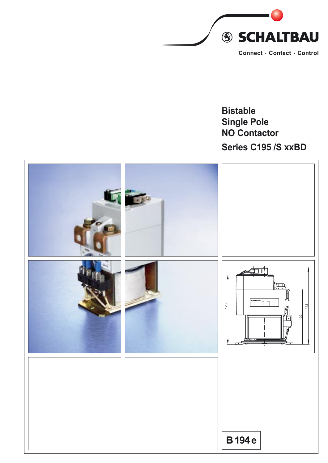

# **Bistable Single Pole NO Contactor** Series C195 /S xxBD

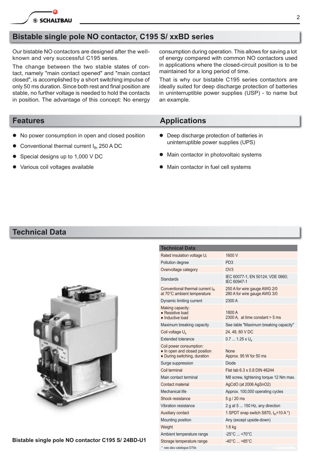### **Bistable single pole NO contactor, C195 S/ xxBD series**

Our bistable NO contactors are designed after the wellknown and very successful C195 series.

The change between the two stable states of contact, namely "main contact opened" and "main contact closed", is accomplished by a short switching impulse of only 50 ms duration. Since both rest and final position are stable, no further voltage is needed to hold the contacts in position. The advantage of this concept: No energy con sumption during operation. This allows for saving a lot of energy compared with common NO contactors used in applications where the closed-circuit position is to be maintained for a long period of time.

That is why our bistable C195 series contactors are ideally suited for deep discharge protection of batteries in uninterruptible power supplies (USP) - to name but an example.

#### **Features Applications**

- No power consumption in open and closed position
- Conventional thermal current  $I_{th}$  250 A DC
- Special designs up to 1,000 V DC
- Various coil voltages available

# • Deep discharge protection of batteries in

- uninterruptible power supplies (UPS)
- $\bullet$  Main contactor in photovoltaic systems
- Main contactor in fuel cell systems

#### **Technical Data**



| <b>Technical Data</b>                                                                    |                                                              |
|------------------------------------------------------------------------------------------|--------------------------------------------------------------|
| Rated insulation voltage U <sub>i</sub>                                                  | 1600 V                                                       |
| Pollution degree                                                                         | PD <sub>3</sub>                                              |
| Overvoltage category                                                                     | OVA                                                          |
| Standards                                                                                | IEC 60077-1; EN 50124; VDE 0660;<br>IEC 60947-1              |
| Conventional thermal current Ith<br>at 70°C ambient temperature                          | 250 A for wire gauge AWG 2/0<br>280 A for wire gauge AWG 3/0 |
| Dynamic limiting current                                                                 | 2300 A                                                       |
| Making capacity:<br>• Resistive load<br>• Inductive load                                 | 1800 A<br>2300 A. at time constant > 5 ms                    |
| Maximum breaking capacity                                                                | See table "Maximum breaking capacity"                        |
| Coil voltage U <sub>s</sub>                                                              | 24, 48, 60 V DC                                              |
| Extended tolerance                                                                       | $0.71.25 \times U_s$                                         |
| Coil power consumption:<br>• In open and closed position<br>• During switching, duration | <b>None</b><br>Approx. 95 W for 50 ms                        |
| Surge suppression                                                                        | <b>Diode</b>                                                 |
| Coil terminal                                                                            | Flat tab 6.3 x 0.8 DIN 46244                                 |
| Main contact terminal                                                                    | M8 screw, tightening torque 12 Nm max.                       |
| Contact material                                                                         | AgCdO (at 2006 AgSnO2)                                       |
| Mechanical life                                                                          | Approx. 100,000 operating cycles                             |
| Shock resistance                                                                         | 5 q / 20 ms                                                  |
| Vibration resistance                                                                     | 2 g at 5  150 Hz, any direction                              |
| <b>Auxiliary contact</b>                                                                 | 1 SPDT snap switch S870, $I_{\text{th}}$ =10 A $^*$ )        |
| Mounting position                                                                        | Any (except upside-down)                                     |
| Weight                                                                                   | 1.6 <sub>kq</sub>                                            |
| Ambient temperature range                                                                | $-25^{\circ}$ C  +70 $^{\circ}$ C                            |
| Storage temperature range                                                                | $-40^{\circ}$ C $ +85^{\circ}$ C                             |
| * see also catalogue D70e                                                                |                                                              |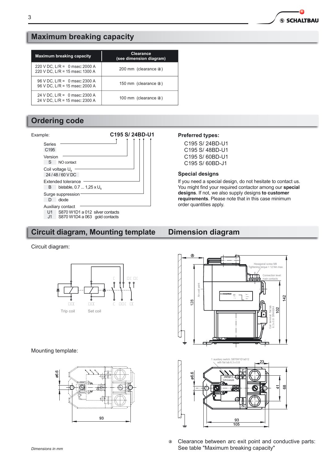**SSCHALTBAU** 

### **Maximum breaking capacity**

| Maximum breaking capacity                                           | Clearance<br>(see dimension diagram) |
|---------------------------------------------------------------------|--------------------------------------|
| 220 V DC, L/R = $0$ msec: 2000 A<br>220 V DC, L/R = 15 msec: 1300 A | 200 mm (clearance @)                 |
| $96$ V DC, L/R = 0 msec: 2300 A<br>96 V DC, L/R = 15 msec: 2000 A   | 150 mm (clearance @)                 |
| 24 V DC, L/R = $0$ msec: 2300 A<br>24 V DC, L/R = 15 msec: 2300 A   | 100 mm (clearance @)                 |

## **Ordering code**



### **Circuit diagram, Mounting template**

#### Circuit diagram:



Mounting template:



#### **Preferred types:**

C195 S/24BD-U1 C195 S/48BD-U1 C195 S/60BD-U1 C195 S/ 60BD-J1

#### **Special designs**

If you need a special design, do not hesitate to contact us. You might find your required contactor among our special designs. If not, we also supply designs to customer requirements. Please note that in this case minimum order quantities apply.

#### **Dimension diagram**



Clearance between arc exit point and conductive parts:  $@$ See table "Maximum breaking capacity"